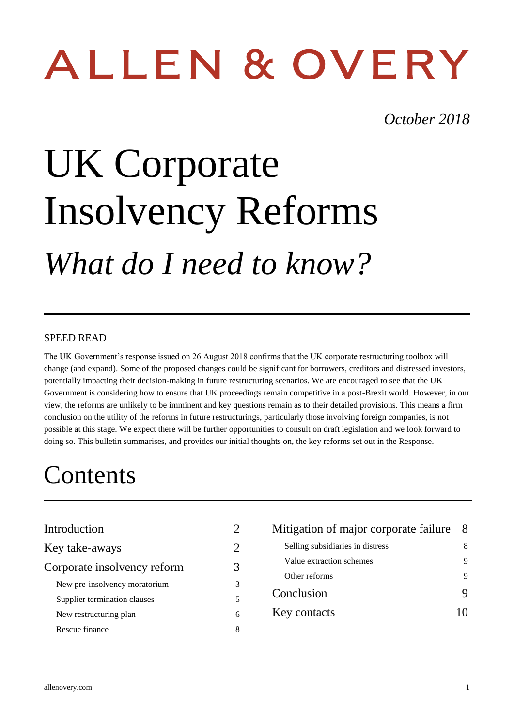# ALLEN & OVERY

## *October 2018*

# UK Corporate Insolvency Reforms *What do I need to know?*

### SPEED READ

The UK Government's response issued on 26 August 2018 confirms that the UK corporate restructuring toolbox will change (and expand). Some of the proposed changes could be significant for borrowers, creditors and distressed investors, potentially impacting their decision-making in future restructuring scenarios. We are encouraged to see that the UK Government is considering how to ensure that UK proceedings remain competitive in a post-Brexit world. However, in our view, the reforms are unlikely to be imminent and key questions remain as to their detailed provisions. This means a firm conclusion on the utility of the reforms in future restructurings, particularly those involving foreign companies, is not possible at this stage. We expect there will be further opportunities to consult on draft legislation and we look forward to doing so. This bulletin summarises, and provides our initial thoughts on, the key reforms set out in the Response.

# **Contents**

| Introduction                  | 2                           |
|-------------------------------|-----------------------------|
| Key take-aways                | $\mathcal{D}_{\mathcal{A}}$ |
| Corporate insolvency reform   | 3                           |
| New pre-insolvency moratorium | 3                           |
| Supplier termination clauses  | 5                           |
| New restructuring plan        | 6                           |
| Rescue finance                |                             |

| Mitigation of major corporate failure |  |
|---------------------------------------|--|
| Selling subsidiaries in distress      |  |
| Value extraction schemes              |  |
| Other reforms                         |  |
| Conclusion                            |  |
| Key contacts                          |  |
|                                       |  |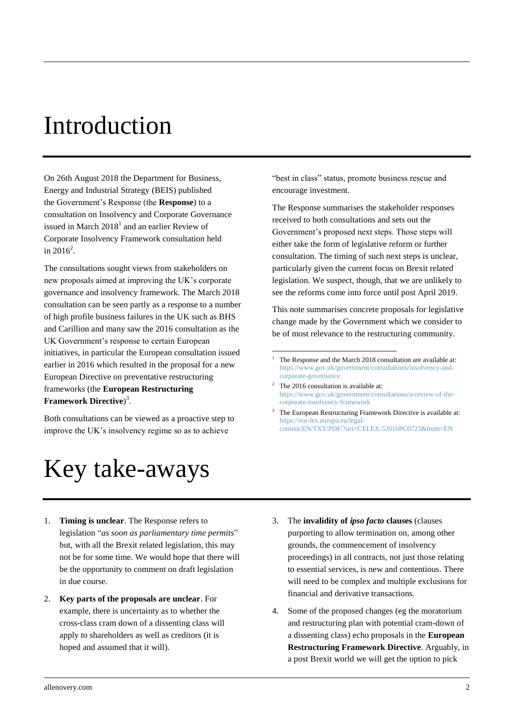# <span id="page-1-0"></span>Introduction

On 26th August 2018 the Department for Business, Energy and Industrial Strategy (BEIS) published the Government's Response (the **Response**) to a consultation on Insolvency and Corporate Governance issued in March  $2018<sup>1</sup>$  and an earlier Review of Corporate Insolvency Framework consultation held in  $2016^2$ .

The consultations sought views from stakeholders on new proposals aimed at improving the UK's corporate governance and insolvency framework. The March 2018 consultation can be seen partly as a response to a number of high profile business failures in the UK such as BHS and Carillion and many saw the 2016 consultation as the UK Government's response to certain European initiatives, in particular the European consultation issued earlier in 2016 which resulted in the proposal for a new European Directive on preventative restructuring frameworks (the **European Restructuring Framework Directive**) 3 .

Both consultations can be viewed as a proactive step to improve the UK's insolvency regime so as to achieve

# <span id="page-1-1"></span>Key take-aways

"best in class" status, promote business rescue and encourage investment.

The Response summarises the stakeholder responses received to both consultations and sets out the Government's proposed next steps. Those steps will either take the form of legislative reform or further consultation. The timing of such next steps is unclear, particularly given the current focus on Brexit related legislation. We suspect, though, that we are unlikely to see the reforms come into force until post April 2019.

This note summarises concrete proposals for legislative change made by the Government which we consider to be of most relevance to the restructuring community.

<u>.</u>

The European Restructuring Framework Directive is available at: [https://eur-lex.europa.eu/legal](https://eur-lex.europa.eu/legal-content/EN/TXT/PDF/?uri=CELEX:52016PC0723&from=EN)[content/EN/TXT/PDF/?uri=CELEX:52016PC0723&from=EN](https://eur-lex.europa.eu/legal-content/EN/TXT/PDF/?uri=CELEX:52016PC0723&from=EN)

- 1. **Timing is unclear**. The Response refers to legislation "*as soon as parliamentary time permits*" but, with all the Brexit related legislation, this may not be for some time. We would hope that there will be the opportunity to comment on draft legislation in due course.
- 2. **Key parts of the proposals are unclear**. For example, there is uncertainty as to whether the cross-class cram down of a dissenting class will apply to shareholders as well as creditors (it is hoped and assumed that it will).
- 3. The **invalidity of** *ipso facto* **clauses** (clauses purporting to allow termination on, among other grounds, the commencement of insolvency proceedings) in all contracts, not just those relating to essential services, is new and contentious. There will need to be complex and multiple exclusions for financial and derivative transactions.
- 4. Some of the proposed changes (eg the moratorium and restructuring plan with potential cram-down of a dissenting class) echo proposals in the **European Restructuring Framework Directive**. Arguably, in a post Brexit world we will get the option to pick

The Response and the March 2018 consultation are available at: [https://www.gov.uk/government/consultations/insolvency-and](https://www.gov.uk/government/consultations/insolvency-and-corporate-governance)[corporate-governance](https://www.gov.uk/government/consultations/insolvency-and-corporate-governance) 

 $2$  The 2016 consultation is available at: [https://www.gov.uk/government/consultations/a-review-of-the](https://www.gov.uk/government/consultations/a-review-of-the-corporate-insolvency-framework)[corporate-insolvency-framework](https://www.gov.uk/government/consultations/a-review-of-the-corporate-insolvency-framework)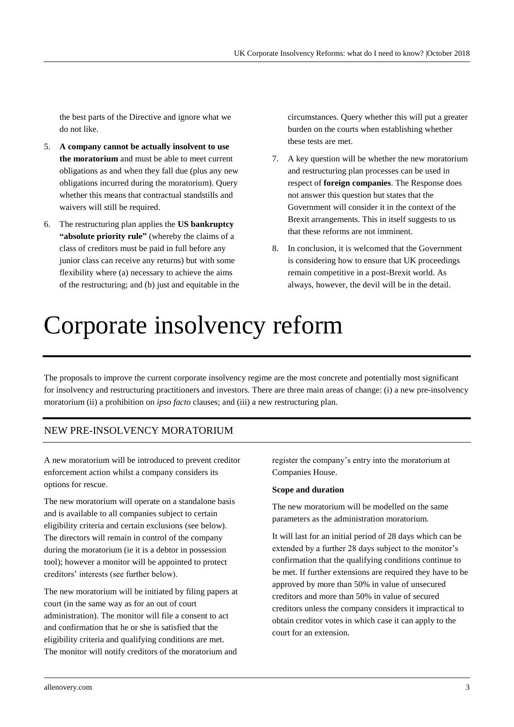the best parts of the Directive and ignore what we do not like.

- 5. **A company cannot be actually insolvent to use the moratorium** and must be able to meet current obligations as and when they fall due (plus any new obligations incurred during the moratorium). Query whether this means that contractual standstills and waivers will still be required.
- 6. The restructuring plan applies the **US bankruptcy "absolute priority rule"** (whereby the claims of a class of creditors must be paid in full before any junior class can receive any returns) but with some flexibility where (a) necessary to achieve the aims of the restructuring; and (b) just and equitable in the

circumstances. Query whether this will put a greater burden on the courts when establishing whether these tests are met.

- 7. A key question will be whether the new moratorium and restructuring plan processes can be used in respect of **foreign companies**. The Response does not answer this question but states that the Government will consider it in the context of the Brexit arrangements. This in itself suggests to us that these reforms are not imminent.
- 8. In conclusion, it is welcomed that the Government is considering how to ensure that UK proceedings remain competitive in a post-Brexit world. As always, however, the devil will be in the detail.

# <span id="page-2-0"></span>Corporate insolvency reform

The proposals to improve the current corporate insolvency regime are the most concrete and potentially most significant for insolvency and restructuring practitioners and investors. There are three main areas of change: (i) a new pre-insolvency moratorium (ii) a prohibition on *ipso facto* clauses; and (iii) a new restructuring plan.

### <span id="page-2-1"></span>NEW PRE-INSOLVENCY MORATORIUM

A new moratorium will be introduced to prevent creditor enforcement action whilst a company considers its options for rescue.

The new moratorium will operate on a standalone basis and is available to all companies subject to certain eligibility criteria and certain exclusions (see below). The directors will remain in control of the company during the moratorium (ie it is a debtor in possession tool); however a monitor will be appointed to protect creditors' interests (see further below).

The new moratorium will be initiated by filing papers at court (in the same way as for an out of court administration). The monitor will file a consent to act and confirmation that he or she is satisfied that the eligibility criteria and qualifying conditions are met. The monitor will notify creditors of the moratorium and

register the company's entry into the moratorium at Companies House.

#### **Scope and duration**

The new moratorium will be modelled on the same parameters as the administration moratorium.

It will last for an initial period of 28 days which can be extended by a further 28 days subject to the monitor's confirmation that the qualifying conditions continue to be met. If further extensions are required they have to be approved by more than 50% in value of unsecured creditors and more than 50% in value of secured creditors unless the company considers it impractical to obtain creditor votes in which case it can apply to the court for an extension.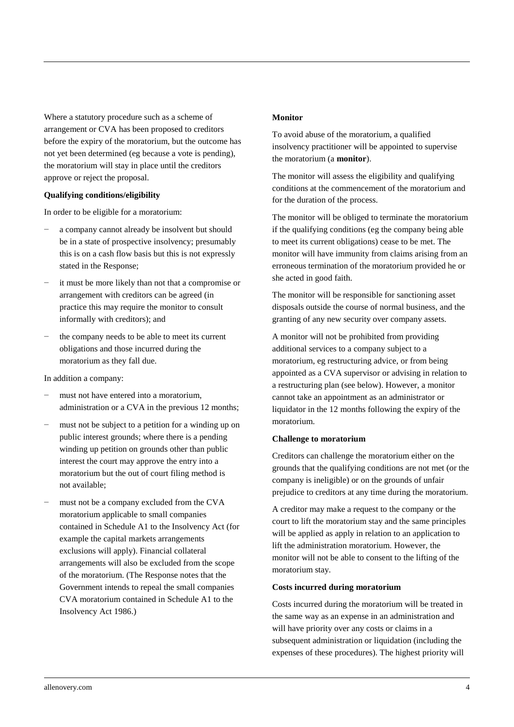Where a statutory procedure such as a scheme of arrangement or CVA has been proposed to creditors before the expiry of the moratorium, but the outcome has not yet been determined (eg because a vote is pending), the moratorium will stay in place until the creditors approve or reject the proposal.

#### **Qualifying conditions/eligibility**

In order to be eligible for a moratorium:

- a company cannot already be insolvent but should be in a state of prospective insolvency; presumably this is on a cash flow basis but this is not expressly stated in the Response;
- it must be more likely than not that a compromise or arrangement with creditors can be agreed (in practice this may require the monitor to consult informally with creditors); and
- the company needs to be able to meet its current obligations and those incurred during the moratorium as they fall due.

In addition a company:

- must not have entered into a moratorium, administration or a CVA in the previous 12 months;
- must not be subject to a petition for a winding up on public interest grounds; where there is a pending winding up petition on grounds other than public interest the court may approve the entry into a moratorium but the out of court filing method is not available;
- must not be a company excluded from the CVA moratorium applicable to small companies contained in Schedule A1 to the Insolvency Act (for example the capital markets arrangements exclusions will apply). Financial collateral arrangements will also be excluded from the scope of the moratorium. (The Response notes that the Government intends to repeal the small companies CVA moratorium contained in Schedule A1 to the Insolvency Act 1986.)

#### **Monitor**

To avoid abuse of the moratorium, a qualified insolvency practitioner will be appointed to supervise the moratorium (a **monitor**).

The monitor will assess the eligibility and qualifying conditions at the commencement of the moratorium and for the duration of the process.

The monitor will be obliged to terminate the moratorium if the qualifying conditions (eg the company being able to meet its current obligations) cease to be met. The monitor will have immunity from claims arising from an erroneous termination of the moratorium provided he or she acted in good faith.

The monitor will be responsible for sanctioning asset disposals outside the course of normal business, and the granting of any new security over company assets.

A monitor will not be prohibited from providing additional services to a company subject to a moratorium, eg restructuring advice, or from being appointed as a CVA supervisor or advising in relation to a restructuring plan (see below). However, a monitor cannot take an appointment as an administrator or liquidator in the 12 months following the expiry of the moratorium.

#### **Challenge to moratorium**

Creditors can challenge the moratorium either on the grounds that the qualifying conditions are not met (or the company is ineligible) or on the grounds of unfair prejudice to creditors at any time during the moratorium.

A creditor may make a request to the company or the court to lift the moratorium stay and the same principles will be applied as apply in relation to an application to lift the administration moratorium. However, the monitor will not be able to consent to the lifting of the moratorium stay.

#### **Costs incurred during moratorium**

Costs incurred during the moratorium will be treated in the same way as an expense in an administration and will have priority over any costs or claims in a subsequent administration or liquidation (including the expenses of these procedures). The highest priority will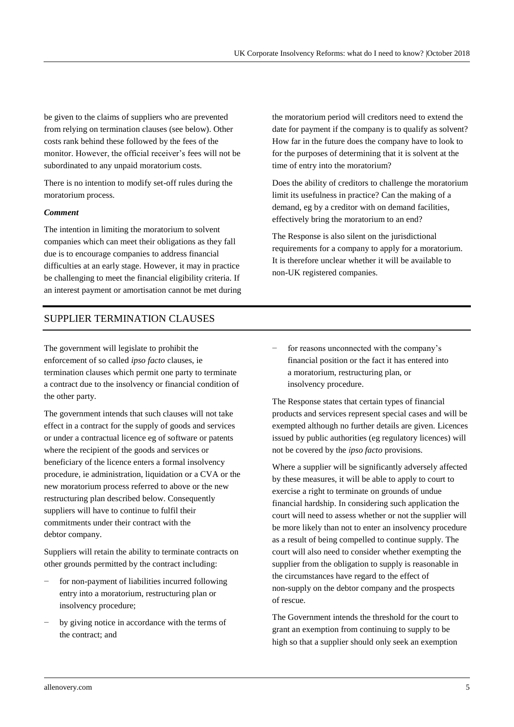be given to the claims of suppliers who are prevented from relying on termination clauses (see below). Other costs rank behind these followed by the fees of the monitor. However, the official receiver's fees will not be subordinated to any unpaid moratorium costs.

There is no intention to modify set-off rules during the moratorium process.

#### *Comment*

The intention in limiting the moratorium to solvent companies which can meet their obligations as they fall due is to encourage companies to address financial difficulties at an early stage. However, it may in practice be challenging to meet the financial eligibility criteria. If an interest payment or amortisation cannot be met during

## <span id="page-4-0"></span>SUPPLIER TERMINATION CLAUSES

The government will legislate to prohibit the enforcement of so called *ipso facto* clauses, ie termination clauses which permit one party to terminate a contract due to the insolvency or financial condition of the other party.

The government intends that such clauses will not take effect in a contract for the supply of goods and services or under a contractual licence eg of software or patents where the recipient of the goods and services or beneficiary of the licence enters a formal insolvency procedure, ie administration, liquidation or a CVA or the new moratorium process referred to above or the new restructuring plan described below. Consequently suppliers will have to continue to fulfil their commitments under their contract with the debtor company.

Suppliers will retain the ability to terminate contracts on other grounds permitted by the contract including:

- for non-payment of liabilities incurred following entry into a moratorium, restructuring plan or insolvency procedure;
- by giving notice in accordance with the terms of the contract; and

the moratorium period will creditors need to extend the date for payment if the company is to qualify as solvent? How far in the future does the company have to look to for the purposes of determining that it is solvent at the time of entry into the moratorium?

Does the ability of creditors to challenge the moratorium limit its usefulness in practice? Can the making of a demand, eg by a creditor with on demand facilities, effectively bring the moratorium to an end?

The Response is also silent on the jurisdictional requirements for a company to apply for a moratorium. It is therefore unclear whether it will be available to non-UK registered companies.

for reasons unconnected with the company's financial position or the fact it has entered into a moratorium, restructuring plan, or insolvency procedure.

The Response states that certain types of financial products and services represent special cases and will be exempted although no further details are given. Licences issued by public authorities (eg regulatory licences) will not be covered by the *ipso facto* provisions.

Where a supplier will be significantly adversely affected by these measures, it will be able to apply to court to exercise a right to terminate on grounds of undue financial hardship. In considering such application the court will need to assess whether or not the supplier will be more likely than not to enter an insolvency procedure as a result of being compelled to continue supply. The court will also need to consider whether exempting the supplier from the obligation to supply is reasonable in the circumstances have regard to the effect of non-supply on the debtor company and the prospects of rescue.

The Government intends the threshold for the court to grant an exemption from continuing to supply to be high so that a supplier should only seek an exemption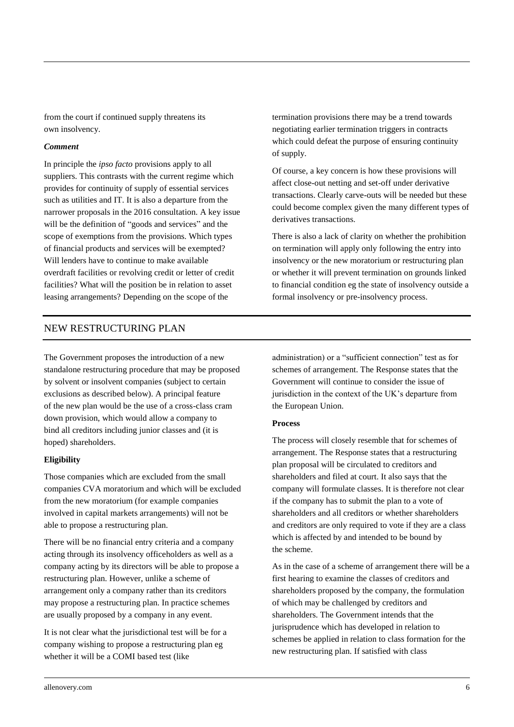from the court if continued supply threatens its own insolvency.

#### *Comment*

In principle the *ipso facto* provisions apply to all suppliers. This contrasts with the current regime which provides for continuity of supply of essential services such as utilities and IT. It is also a departure from the narrower proposals in the 2016 consultation. A key issue will be the definition of "goods and services" and the scope of exemptions from the provisions. Which types of financial products and services will be exempted? Will lenders have to continue to make available overdraft facilities or revolving credit or letter of credit facilities? What will the position be in relation to asset leasing arrangements? Depending on the scope of the

termination provisions there may be a trend towards negotiating earlier termination triggers in contracts which could defeat the purpose of ensuring continuity of supply.

Of course, a key concern is how these provisions will affect close-out netting and set-off under derivative transactions. Clearly carve-outs will be needed but these could become complex given the many different types of derivatives transactions.

There is also a lack of clarity on whether the prohibition on termination will apply only following the entry into insolvency or the new moratorium or restructuring plan or whether it will prevent termination on grounds linked to financial condition eg the state of insolvency outside a formal insolvency or pre-insolvency process.

### <span id="page-5-0"></span>NEW RESTRUCTURING PLAN

The Government proposes the introduction of a new standalone restructuring procedure that may be proposed by solvent or insolvent companies (subject to certain exclusions as described below). A principal feature of the new plan would be the use of a cross-class cram down provision, which would allow a company to bind all creditors including junior classes and (it is hoped) shareholders.

#### **Eligibility**

Those companies which are excluded from the small companies CVA moratorium and which will be excluded from the new moratorium (for example companies involved in capital markets arrangements) will not be able to propose a restructuring plan.

There will be no financial entry criteria and a company acting through its insolvency officeholders as well as a company acting by its directors will be able to propose a restructuring plan. However, unlike a scheme of arrangement only a company rather than its creditors may propose a restructuring plan. In practice schemes are usually proposed by a company in any event.

It is not clear what the jurisdictional test will be for a company wishing to propose a restructuring plan eg whether it will be a COMI based test (like

administration) or a "sufficient connection" test as for schemes of arrangement. The Response states that the Government will continue to consider the issue of jurisdiction in the context of the UK's departure from the European Union.

#### **Process**

The process will closely resemble that for schemes of arrangement. The Response states that a restructuring plan proposal will be circulated to creditors and shareholders and filed at court. It also says that the company will formulate classes. It is therefore not clear if the company has to submit the plan to a vote of shareholders and all creditors or whether shareholders and creditors are only required to vote if they are a class which is affected by and intended to be bound by the scheme.

As in the case of a scheme of arrangement there will be a first hearing to examine the classes of creditors and shareholders proposed by the company, the formulation of which may be challenged by creditors and shareholders. The Government intends that the jurisprudence which has developed in relation to schemes be applied in relation to class formation for the new restructuring plan. If satisfied with class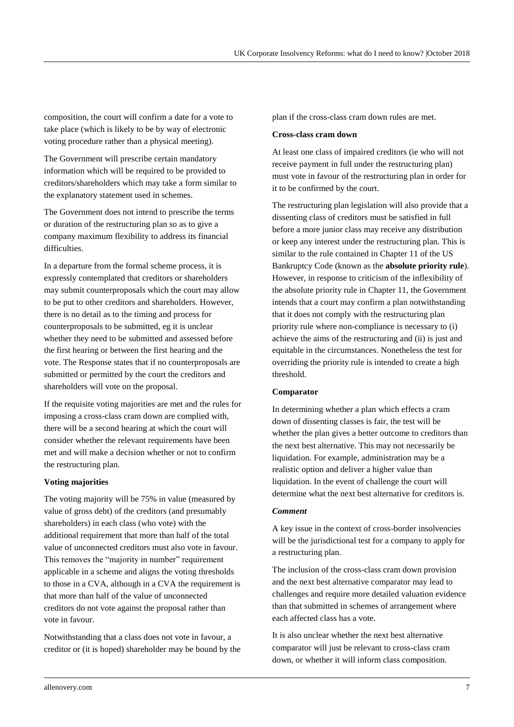composition, the court will confirm a date for a vote to take place (which is likely to be by way of electronic voting procedure rather than a physical meeting).

The Government will prescribe certain mandatory information which will be required to be provided to creditors/shareholders which may take a form similar to the explanatory statement used in schemes.

The Government does not intend to prescribe the terms or duration of the restructuring plan so as to give a company maximum flexibility to address its financial difficulties.

In a departure from the formal scheme process, it is expressly contemplated that creditors or shareholders may submit counterproposals which the court may allow to be put to other creditors and shareholders. However, there is no detail as to the timing and process for counterproposals to be submitted, eg it is unclear whether they need to be submitted and assessed before the first hearing or between the first hearing and the vote. The Response states that if no counterproposals are submitted or permitted by the court the creditors and shareholders will vote on the proposal.

If the requisite voting majorities are met and the rules for imposing a cross-class cram down are complied with, there will be a second hearing at which the court will consider whether the relevant requirements have been met and will make a decision whether or not to confirm the restructuring plan.

#### **Voting majorities**

The voting majority will be 75% in value (measured by value of gross debt) of the creditors (and presumably shareholders) in each class (who vote) with the additional requirement that more than half of the total value of unconnected creditors must also vote in favour. This removes the "majority in number" requirement applicable in a scheme and aligns the voting thresholds to those in a CVA, although in a CVA the requirement is that more than half of the value of unconnected creditors do not vote against the proposal rather than vote in favour.

Notwithstanding that a class does not vote in favour, a creditor or (it is hoped) shareholder may be bound by the plan if the cross-class cram down rules are met.

#### **Cross-class cram down**

At least one class of impaired creditors (ie who will not receive payment in full under the restructuring plan) must vote in favour of the restructuring plan in order for it to be confirmed by the court.

The restructuring plan legislation will also provide that a dissenting class of creditors must be satisfied in full before a more junior class may receive any distribution or keep any interest under the restructuring plan. This is similar to the rule contained in Chapter 11 of the US Bankruptcy Code (known as the **absolute priority rule**). However, in response to criticism of the inflexibility of the absolute priority rule in Chapter 11, the Government intends that a court may confirm a plan notwithstanding that it does not comply with the restructuring plan priority rule where non-compliance is necessary to (i) achieve the aims of the restructuring and (ii) is just and equitable in the circumstances. Nonetheless the test for overriding the priority rule is intended to create a high threshold.

#### **Comparator**

In determining whether a plan which effects a cram down of dissenting classes is fair, the test will be whether the plan gives a better outcome to creditors than the next best alternative. This may not necessarily be liquidation. For example, administration may be a realistic option and deliver a higher value than liquidation. In the event of challenge the court will determine what the next best alternative for creditors is.

#### *Comment*

A key issue in the context of cross-border insolvencies will be the jurisdictional test for a company to apply for a restructuring plan.

The inclusion of the cross-class cram down provision and the next best alternative comparator may lead to challenges and require more detailed valuation evidence than that submitted in schemes of arrangement where each affected class has a vote.

It is also unclear whether the next best alternative comparator will just be relevant to cross-class cram down, or whether it will inform class composition.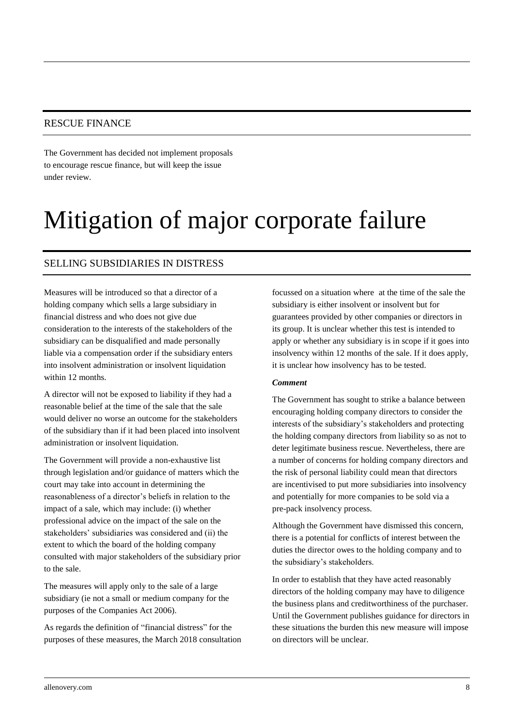### <span id="page-7-0"></span>RESCUE FINANCE

The Government has decided not implement proposals to encourage rescue finance, but will keep the issue under review.

# <span id="page-7-1"></span>Mitigation of major corporate failure

### <span id="page-7-2"></span>SELLING SUBSIDIARIES IN DISTRESS

Measures will be introduced so that a director of a holding company which sells a large subsidiary in financial distress and who does not give due consideration to the interests of the stakeholders of the subsidiary can be disqualified and made personally liable via a compensation order if the subsidiary enters into insolvent administration or insolvent liquidation within 12 months.

A director will not be exposed to liability if they had a reasonable belief at the time of the sale that the sale would deliver no worse an outcome for the stakeholders of the subsidiary than if it had been placed into insolvent administration or insolvent liquidation.

The Government will provide a non-exhaustive list through legislation and/or guidance of matters which the court may take into account in determining the reasonableness of a director's beliefs in relation to the impact of a sale, which may include: (i) whether professional advice on the impact of the sale on the stakeholders' subsidiaries was considered and (ii) the extent to which the board of the holding company consulted with major stakeholders of the subsidiary prior to the sale.

The measures will apply only to the sale of a large subsidiary (ie not a small or medium company for the purposes of the Companies Act 2006).

As regards the definition of "financial distress" for the purposes of these measures, the March 2018 consultation

focussed on a situation where at the time of the sale the subsidiary is either insolvent or insolvent but for guarantees provided by other companies or directors in its group. It is unclear whether this test is intended to apply or whether any subsidiary is in scope if it goes into insolvency within 12 months of the sale. If it does apply, it is unclear how insolvency has to be tested.

#### *Comment*

The Government has sought to strike a balance between encouraging holding company directors to consider the interests of the subsidiary's stakeholders and protecting the holding company directors from liability so as not to deter legitimate business rescue. Nevertheless, there are a number of concerns for holding company directors and the risk of personal liability could mean that directors are incentivised to put more subsidiaries into insolvency and potentially for more companies to be sold via a pre-pack insolvency process.

Although the Government have dismissed this concern, there is a potential for conflicts of interest between the duties the director owes to the holding company and to the subsidiary's stakeholders.

In order to establish that they have acted reasonably directors of the holding company may have to diligence the business plans and creditworthiness of the purchaser. Until the Government publishes guidance for directors in these situations the burden this new measure will impose on directors will be unclear.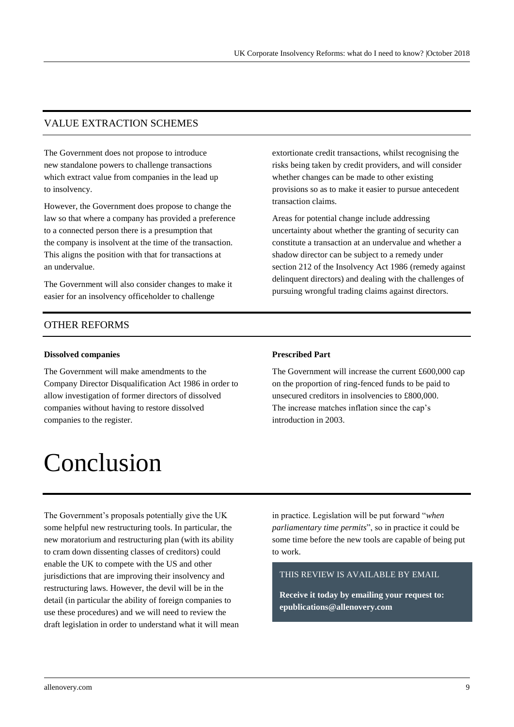### <span id="page-8-0"></span>VALUE EXTRACTION SCHEMES

The Government does not propose to introduce new standalone powers to challenge transactions which extract value from companies in the lead up to insolvency.

However, the Government does propose to change the law so that where a company has provided a preference to a connected person there is a presumption that the company is insolvent at the time of the transaction. This aligns the position with that for transactions at an undervalue.

The Government will also consider changes to make it easier for an insolvency officeholder to challenge

extortionate credit transactions, whilst recognising the risks being taken by credit providers, and will consider whether changes can be made to other existing provisions so as to make it easier to pursue antecedent transaction claims.

Areas for potential change include addressing uncertainty about whether the granting of security can constitute a transaction at an undervalue and whether a shadow director can be subject to a remedy under section 212 of the Insolvency Act 1986 (remedy against delinquent directors) and dealing with the challenges of pursuing wrongful trading claims against directors.

### <span id="page-8-1"></span>OTHER REFORMS

#### **Dissolved companies**

The Government will make amendments to the Company Director Disqualification Act 1986 in order to allow investigation of former directors of dissolved companies without having to restore dissolved companies to the register.

# <span id="page-8-2"></span>Conclusion

#### **Prescribed Part**

The Government will increase the current £600,000 cap on the proportion of ring-fenced funds to be paid to unsecured creditors in insolvencies to £800,000. The increase matches inflation since the cap's introduction in 2003.

The Government's proposals potentially give the UK some helpful new restructuring tools. In particular, the new moratorium and restructuring plan (with its ability to cram down dissenting classes of creditors) could enable the UK to compete with the US and other jurisdictions that are improving their insolvency and restructuring laws. However, the devil will be in the detail (in particular the ability of foreign companies to use these procedures) and we will need to review the draft legislation in order to understand what it will mean

in practice. Legislation will be put forward "*when parliamentary time permits*", so in practice it could be some time before the new tools are capable of being put to work.

#### THIS REVIEW IS AVAILABLE BY EMAIL

**Receive it today by emailing your request to: [epublications@allenovery.com](mailto:epublications@allenovery.com)**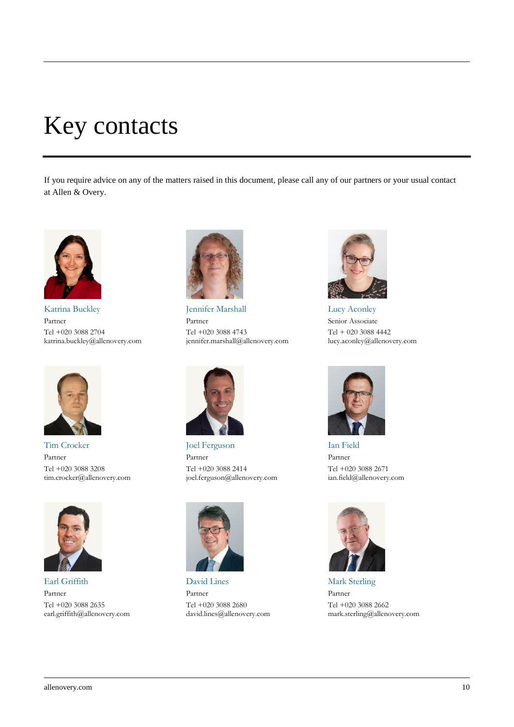# <span id="page-9-0"></span>Key contacts

If you require advice on any of the matters raised in this document, please call any of our partners or your usual contact at Allen & Overy.



Katrina Buckley Partner Tel +020 3088 2704 katrina.buckley@allenovery.com



Tim Crocker Partner Tel +020 3088 3208 tim.crocker@allenovery.com



Earl Griffith Partner Tel +020 3088 2635 earl.griffith@allenovery.com



Jennifer Marshall Partner Tel +020 3088 4743 jennifer.marshall@allenovery.com



Joel Ferguson Partner Tel +020 3088 2414 joel.ferguson@allenovery.com



David Lines Partner Tel +020 3088 2680 david.lines@allenovery.com



Lucy Aconley Senior Associate Tel + 020 3088 4442 lucy.aconley@allenovery.com



Ian Field Partner Tel +020 3088 2671 ian.field@allenovery.com



Mark Sterling Partner Tel +020 3088 2662 mark.sterling@allenovery.com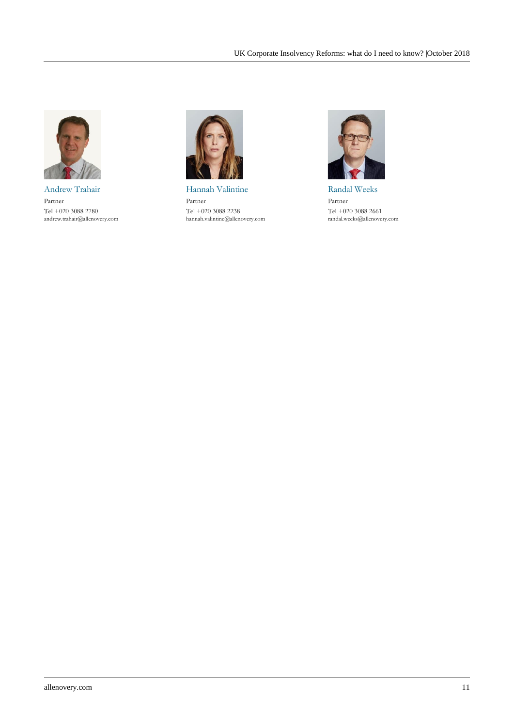

Andrew Trahair Partner Tel +020 3088 2780 andrew.trahair@allenovery.com



Hannah Valintine Partner Tel +020 3088 2238 hannah.valintine@allenovery.com



Randal Weeks Partner Tel +020 3088 2661 randal.weeks@allenovery.com